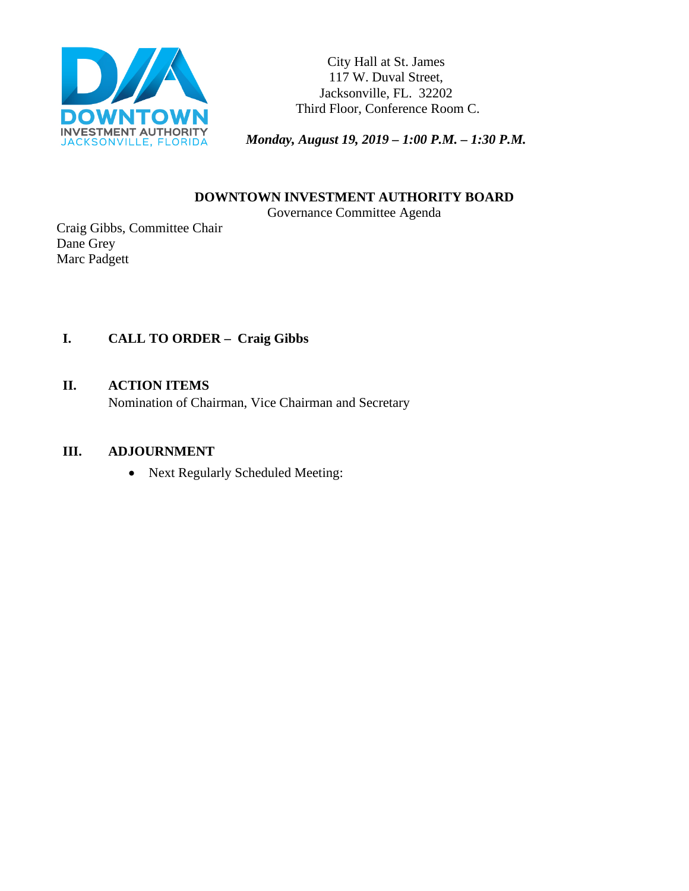

City Hall at St. James 117 W. Duval Street, Jacksonville, FL. 32202 Third Floor, Conference Room C.

*Monday, August 19, 2019 – 1:00 P.M. – 1:30 P.M.* 

**DOWNTOWN INVESTMENT AUTHORITY BOARD**

Governance Committee Agenda

Craig Gibbs, Committee Chair Dane Grey Marc Padgett

# **I. CALL TO ORDER – Craig Gibbs**

#### **II. ACTION ITEMS**

Nomination of Chairman, Vice Chairman and Secretary

#### **III. ADJOURNMENT**

• Next Regularly Scheduled Meeting: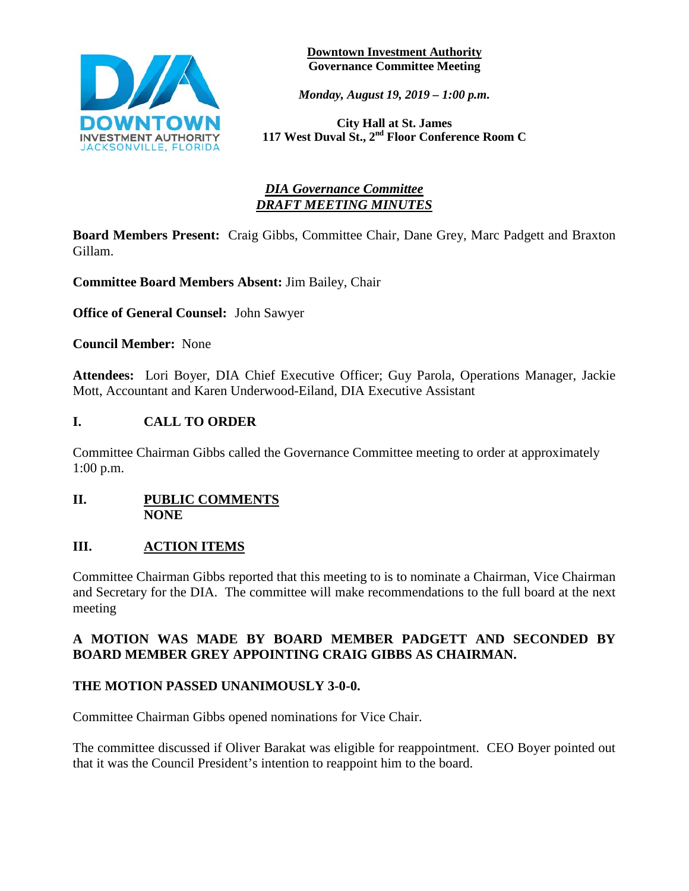

**Downtown Investment Authority Governance Committee Meeting** 

*Monday, August 19, 2019 – 1:00 p.m.* 

**City Hall at St. James 117 West Duval St., 2nd Floor Conference Room C**

## *DIA Governance Committee DRAFT MEETING MINUTES*

**Board Members Present:** Craig Gibbs, Committee Chair, Dane Grey, Marc Padgett and Braxton Gillam.

**Committee Board Members Absent:** Jim Bailey, Chair

**Office of General Counsel:** John Sawyer

**Council Member:** None

**Attendees:** Lori Boyer, DIA Chief Executive Officer; Guy Parola, Operations Manager, Jackie Mott, Accountant and Karen Underwood-Eiland, DIA Executive Assistant

#### **I. CALL TO ORDER**

Committee Chairman Gibbs called the Governance Committee meeting to order at approximately 1:00 p.m.

#### **II. PUBLIC COMMENTS NONE**

#### **III. ACTION ITEMS**

Committee Chairman Gibbs reported that this meeting to is to nominate a Chairman, Vice Chairman and Secretary for the DIA. The committee will make recommendations to the full board at the next meeting

#### **A MOTION WAS MADE BY BOARD MEMBER PADGETT AND SECONDED BY BOARD MEMBER GREY APPOINTING CRAIG GIBBS AS CHAIRMAN.**

#### **THE MOTION PASSED UNANIMOUSLY 3-0-0.**

Committee Chairman Gibbs opened nominations for Vice Chair.

The committee discussed if Oliver Barakat was eligible for reappointment. CEO Boyer pointed out that it was the Council President's intention to reappoint him to the board.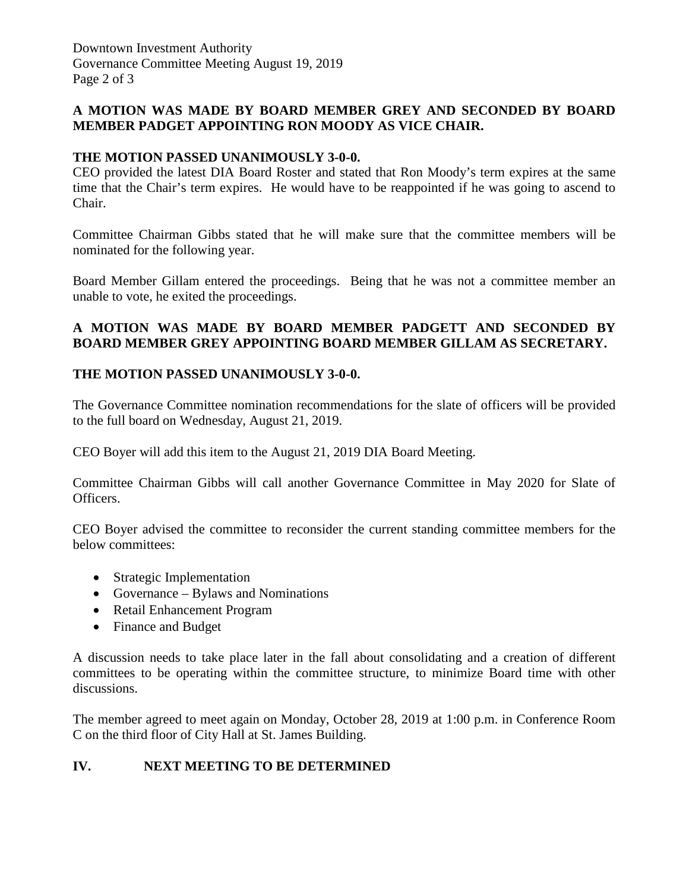# **A MOTION WAS MADE BY BOARD MEMBER GREY AND SECONDED BY BOARD MEMBER PADGET APPOINTING RON MOODY AS VICE CHAIR.**

## **THE MOTION PASSED UNANIMOUSLY 3-0-0.**

CEO provided the latest DIA Board Roster and stated that Ron Moody's term expires at the same time that the Chair's term expires. He would have to be reappointed if he was going to ascend to Chair.

Committee Chairman Gibbs stated that he will make sure that the committee members will be nominated for the following year.

Board Member Gillam entered the proceedings. Being that he was not a committee member an unable to vote, he exited the proceedings.

## **A MOTION WAS MADE BY BOARD MEMBER PADGETT AND SECONDED BY BOARD MEMBER GREY APPOINTING BOARD MEMBER GILLAM AS SECRETARY.**

#### **THE MOTION PASSED UNANIMOUSLY 3-0-0.**

The Governance Committee nomination recommendations for the slate of officers will be provided to the full board on Wednesday, August 21, 2019.

CEO Boyer will add this item to the August 21, 2019 DIA Board Meeting.

Committee Chairman Gibbs will call another Governance Committee in May 2020 for Slate of Officers.

CEO Boyer advised the committee to reconsider the current standing committee members for the below committees:

- Strategic Implementation
- Governance Bylaws and Nominations
- Retail Enhancement Program
- Finance and Budget

A discussion needs to take place later in the fall about consolidating and a creation of different committees to be operating within the committee structure, to minimize Board time with other discussions.

The member agreed to meet again on Monday, October 28, 2019 at 1:00 p.m. in Conference Room C on the third floor of City Hall at St. James Building.

# **IV. NEXT MEETING TO BE DETERMINED**